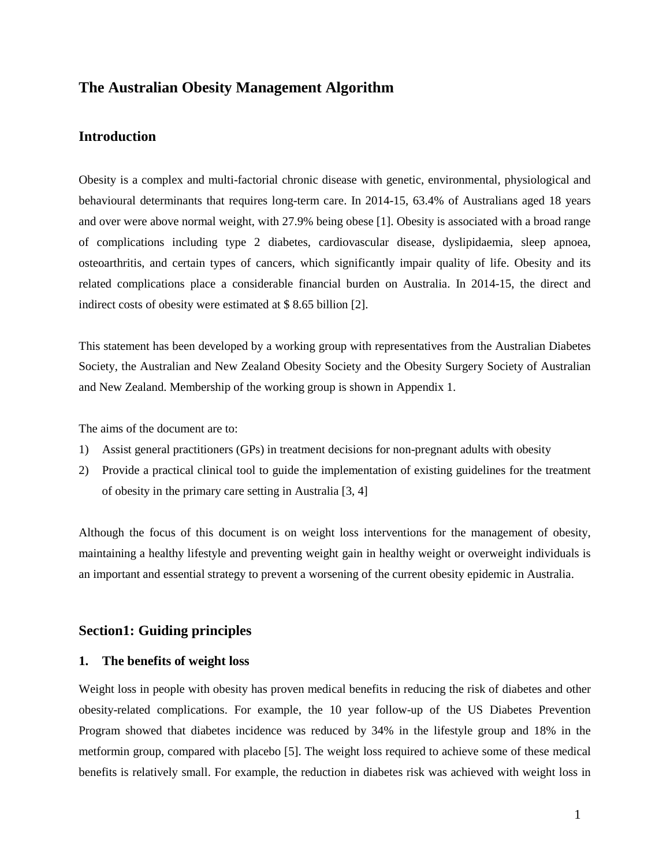## **The Australian Obesity Management Algorithm**

## **Introduction**

Obesity is a complex and multi-factorial chronic disease with genetic, environmental, physiological and behavioural determinants that requires long-term care. In 2014-15, 63.4% of Australians aged 18 years and over were above normal weight, with 27.9% being obese [\[1\]](#page-21-0). Obesity is associated with a broad range of complications including type 2 diabetes, cardiovascular disease, dyslipidaemia, sleep apnoea, osteoarthritis, and certain types of cancers, which significantly impair quality of life. Obesity and its related complications place a considerable financial burden on Australia. In 2014-15, the direct and indirect costs of obesity were estimated at \$ 8.65 billion [\[2\]](#page-21-1).

This statement has been developed by a working group with representatives from the Australian Diabetes Society, the Australian and New Zealand Obesity Society and the Obesity Surgery Society of Australian and New Zealand. Membership of the working group is shown in Appendix 1.

The aims of the document are to:

- 1) Assist general practitioners (GPs) in treatment decisions for non-pregnant adults with obesity
- 2) Provide a practical clinical tool to guide the implementation of existing guidelines for the treatment of obesity in the primary care setting in Australia [\[3,](#page-21-2) [4\]](#page-21-3)

Although the focus of this document is on weight loss interventions for the management of obesity, maintaining a healthy lifestyle and preventing weight gain in healthy weight or overweight individuals is an important and essential strategy to prevent a worsening of the current obesity epidemic in Australia.

## **Section1: Guiding principles**

## **1. The benefits of weight loss**

Weight loss in people with obesity has proven medical benefits in reducing the risk of diabetes and other obesity-related complications. For example, the 10 year follow-up of the US Diabetes Prevention Program showed that diabetes incidence was reduced by 34% in the lifestyle group and 18% in the metformin group, compared with placebo [\[5\]](#page-21-4). The weight loss required to achieve some of these medical benefits is relatively small. For example, the reduction in diabetes risk was achieved with weight loss in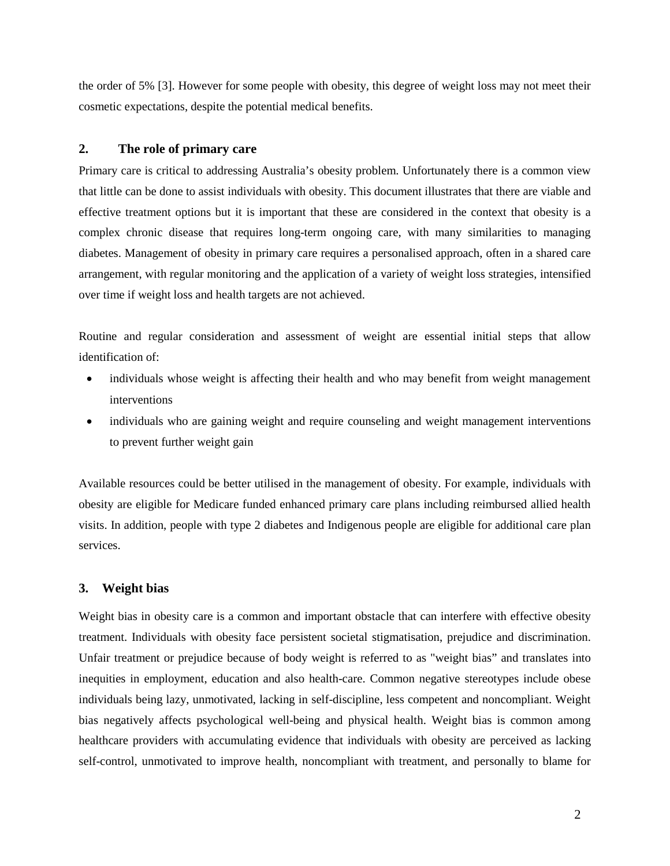the order of 5% [\[3\]](#page-21-2). However for some people with obesity, this degree of weight loss may not meet their cosmetic expectations, despite the potential medical benefits.

## **2. The role of primary care**

Primary care is critical to addressing Australia's obesity problem. Unfortunately there is a common view that little can be done to assist individuals with obesity. This document illustrates that there are viable and effective treatment options but it is important that these are considered in the context that obesity is a complex chronic disease that requires long-term ongoing care, with many similarities to managing diabetes. Management of obesity in primary care requires a personalised approach, often in a shared care arrangement, with regular monitoring and the application of a variety of weight loss strategies, intensified over time if weight loss and health targets are not achieved.

Routine and regular consideration and assessment of weight are essential initial steps that allow identification of:

- individuals whose weight is affecting their health and who may benefit from weight management interventions
- individuals who are gaining weight and require counseling and weight management interventions to prevent further weight gain

Available resources could be better utilised in the management of obesity. For example, individuals with obesity are eligible for Medicare funded enhanced primary care plans including reimbursed allied health visits. In addition, people with type 2 diabetes and Indigenous people are eligible for additional care plan services.

## **3. Weight bias**

Weight bias in obesity care is a common and important obstacle that can interfere with effective obesity treatment. Individuals with obesity face persistent societal stigmatisation, prejudice and discrimination. Unfair treatment or prejudice because of body weight is referred to as "weight bias" and translates into inequities in employment, education and also health-care. Common negative stereotypes include obese individuals being lazy, unmotivated, lacking in self-discipline, less competent and noncompliant. Weight bias negatively affects psychological well-being and physical health. Weight bias is common among healthcare providers with accumulating evidence that individuals with obesity are perceived as lacking self-control, unmotivated to improve health, noncompliant with treatment, and personally to blame for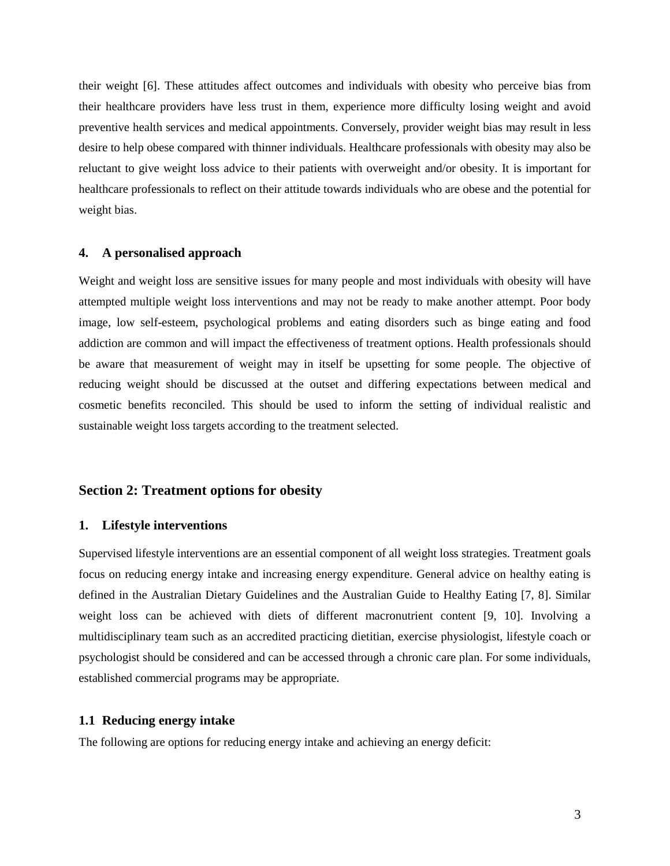their weight [\[6\]](#page-21-5). These attitudes affect outcomes and individuals with obesity who perceive bias from their healthcare providers have less trust in them, experience more difficulty losing weight and avoid preventive health services and medical appointments. Conversely, provider weight bias may result in less desire to help obese compared with thinner individuals. Healthcare professionals with obesity may also be reluctant to give weight loss advice to their patients with overweight and/or obesity. It is important for healthcare professionals to reflect on their attitude towards individuals who are obese and the potential for weight bias.

## **4. A personalised approach**

Weight and weight loss are sensitive issues for many people and most individuals with obesity will have attempted multiple weight loss interventions and may not be ready to make another attempt. Poor body image, low self-esteem, psychological problems and eating disorders such as binge eating and food addiction are common and will impact the effectiveness of treatment options. Health professionals should be aware that measurement of weight may in itself be upsetting for some people. The objective of reducing weight should be discussed at the outset and differing expectations between medical and cosmetic benefits reconciled. This should be used to inform the setting of individual realistic and sustainable weight loss targets according to the treatment selected.

## **Section 2: Treatment options for obesity**

## **1. Lifestyle interventions**

Supervised lifestyle interventions are an essential component of all weight loss strategies. Treatment goals focus on reducing energy intake and increasing energy expenditure. General advice on healthy eating is defined in the Australian Dietary Guidelines and the Australian Guide to Healthy Eating [\[7,](#page-21-6) [8\]](#page-21-7). Similar weight loss can be achieved with diets of different macronutrient content [\[9,](#page-21-8) [10\]](#page-21-9). Involving a multidisciplinary team such as an accredited practicing dietitian, exercise physiologist, lifestyle coach or psychologist should be considered and can be accessed through a chronic care plan. For some individuals, established commercial programs may be appropriate.

## **1.1 Reducing energy intake**

The following are options for reducing energy intake and achieving an energy deficit: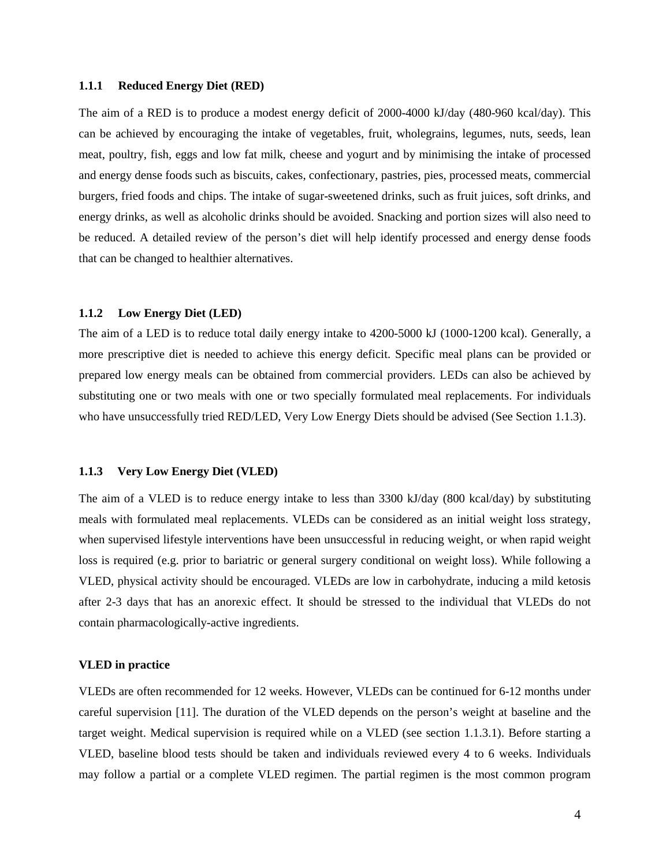#### **1.1.1 Reduced Energy Diet (RED)**

The aim of a RED is to produce a modest energy deficit of 2000-4000 kJ/day (480-960 kcal/day). This can be achieved by encouraging the intake of vegetables, fruit, wholegrains, legumes, nuts, seeds, lean meat, poultry, fish, eggs and low fat milk, cheese and yogurt and by minimising the intake of processed and energy dense foods such as biscuits, cakes, confectionary, pastries, pies, processed meats, commercial burgers, fried foods and chips. The intake of sugar-sweetened drinks, such as fruit juices, soft drinks, and energy drinks, as well as alcoholic drinks should be avoided. Snacking and portion sizes will also need to be reduced. A detailed review of the person's diet will help identify processed and energy dense foods that can be changed to healthier alternatives.

#### **1.1.2 Low Energy Diet (LED)**

The aim of a LED is to reduce total daily energy intake to 4200-5000 kJ (1000-1200 kcal). Generally, a more prescriptive diet is needed to achieve this energy deficit. Specific meal plans can be provided or prepared low energy meals can be obtained from commercial providers. LEDs can also be achieved by substituting one or two meals with one or two specially formulated meal replacements. For individuals who have unsuccessfully tried RED/LED, Very Low Energy Diets should be advised (See Section 1.1.3).

#### **1.1.3 Very Low Energy Diet (VLED)**

The aim of a VLED is to reduce energy intake to less than 3300 kJ/day (800 kcal/day) by substituting meals with formulated meal replacements. VLEDs can be considered as an initial weight loss strategy, when supervised lifestyle interventions have been unsuccessful in reducing weight, or when rapid weight loss is required (e.g. prior to bariatric or general surgery conditional on weight loss). While following a VLED, physical activity should be encouraged. VLEDs are low in carbohydrate, inducing a mild ketosis after 2-3 days that has an anorexic effect. It should be stressed to the individual that VLEDs do not contain pharmacologically-active ingredients.

#### **VLED in practice**

VLEDs are often recommended for 12 weeks. However, VLEDs can be continued for 6-12 months under careful supervision [\[11\]](#page-21-10). The duration of the VLED depends on the person's weight at baseline and the target weight. Medical supervision is required while on a VLED (see section 1.1.3.1). Before starting a VLED, baseline blood tests should be taken and individuals reviewed every 4 to 6 weeks. Individuals may follow a partial or a complete VLED regimen. The partial regimen is the most common program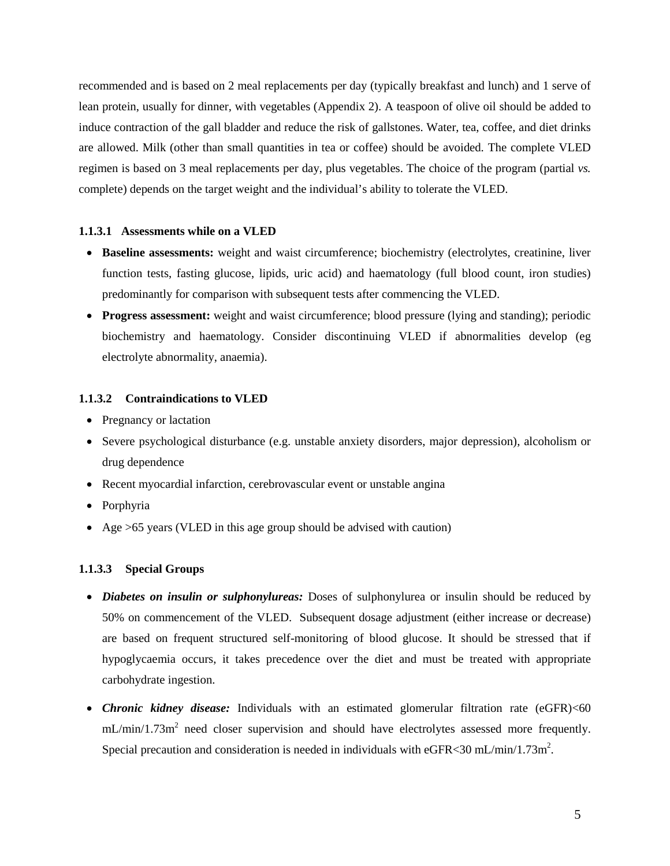recommended and is based on 2 meal replacements per day (typically breakfast and lunch) and 1 serve of lean protein, usually for dinner, with vegetables (Appendix 2). A teaspoon of olive oil should be added to induce contraction of the gall bladder and reduce the risk of gallstones. Water, tea, coffee, and diet drinks are allowed. Milk (other than small quantities in tea or coffee) should be avoided. The complete VLED regimen is based on 3 meal replacements per day, plus vegetables. The choice of the program (partial *vs.* complete) depends on the target weight and the individual's ability to tolerate the VLED.

#### **1.1.3.1 Assessments while on a VLED**

- **Baseline assessments:** weight and waist circumference; biochemistry (electrolytes, creatinine, liver function tests, fasting glucose, lipids, uric acid) and haematology (full blood count, iron studies) predominantly for comparison with subsequent tests after commencing the VLED.
- **Progress assessment:** weight and waist circumference; blood pressure (lying and standing); periodic biochemistry and haematology. Consider discontinuing VLED if abnormalities develop (eg electrolyte abnormality, anaemia).

#### **1.1.3.2 Contraindications to VLED**

- Pregnancy or lactation
- Severe psychological disturbance (e.g. unstable anxiety disorders, major depression), alcoholism or drug dependence
- Recent myocardial infarction, cerebrovascular event or unstable angina
- Porphyria
- Age > 65 years (VLED in this age group should be advised with caution)

#### **1.1.3.3 Special Groups**

- *Diabetes on insulin or sulphonylureas:* Doses of sulphonylurea or insulin should be reduced by 50% on commencement of the VLED. Subsequent dosage adjustment (either increase or decrease) are based on frequent structured self-monitoring of blood glucose. It should be stressed that if hypoglycaemia occurs, it takes precedence over the diet and must be treated with appropriate carbohydrate ingestion.
- *Chronic kidney disease:* Individuals with an estimated glomerular filtration rate (eGFR)<60  $mL/min/1.73m<sup>2</sup>$  need closer supervision and should have electrolytes assessed more frequently. Special precaution and consideration is needed in individuals with eGFR<30 mL/min/1.73m<sup>2</sup>.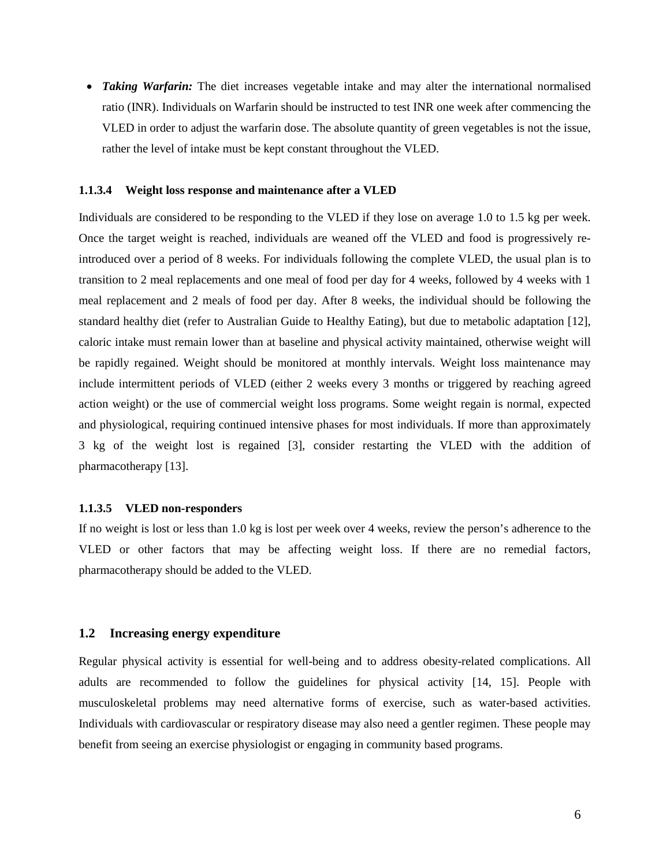• *Taking Warfarin:* The diet increases vegetable intake and may alter the international normalised ratio (INR). Individuals on Warfarin should be instructed to test INR one week after commencing the VLED in order to adjust the warfarin dose. The absolute quantity of green vegetables is not the issue, rather the level of intake must be kept constant throughout the VLED.

#### **1.1.3.4 Weight loss response and maintenance after a VLED**

Individuals are considered to be responding to the VLED if they lose on average 1.0 to 1.5 kg per week. Once the target weight is reached, individuals are weaned off the VLED and food is progressively reintroduced over a period of 8 weeks. For individuals following the complete VLED, the usual plan is to transition to 2 meal replacements and one meal of food per day for 4 weeks, followed by 4 weeks with 1 meal replacement and 2 meals of food per day. After 8 weeks, the individual should be following the standard healthy diet (refer to Australian Guide to Healthy Eating), but due to metabolic adaptation [\[12\]](#page-21-11), caloric intake must remain lower than at baseline and physical activity maintained, otherwise weight will be rapidly regained. Weight should be monitored at monthly intervals. Weight loss maintenance may include intermittent periods of VLED (either 2 weeks every 3 months or triggered by reaching agreed action weight) or the use of commercial weight loss programs. Some weight regain is normal, expected and physiological, requiring continued intensive phases for most individuals. If more than approximately 3 kg of the weight lost is regained [\[3\]](#page-21-2), consider restarting the VLED with the addition of pharmacotherapy [\[13\]](#page-21-12).

#### **1.1.3.5 VLED non-responders**

If no weight is lost or less than 1.0 kg is lost per week over 4 weeks, review the person's adherence to the VLED or other factors that may be affecting weight loss. If there are no remedial factors, pharmacotherapy should be added to the VLED.

#### **1.2 Increasing energy expenditure**

Regular physical activity is essential for well-being and to address obesity-related complications. All adults are recommended to follow the guidelines for physical activity [\[14,](#page-21-13) [15\]](#page-21-14). People with musculoskeletal problems may need alternative forms of exercise, such as water-based activities. Individuals with cardiovascular or respiratory disease may also need a gentler regimen. These people may benefit from seeing an exercise physiologist or engaging in community based programs.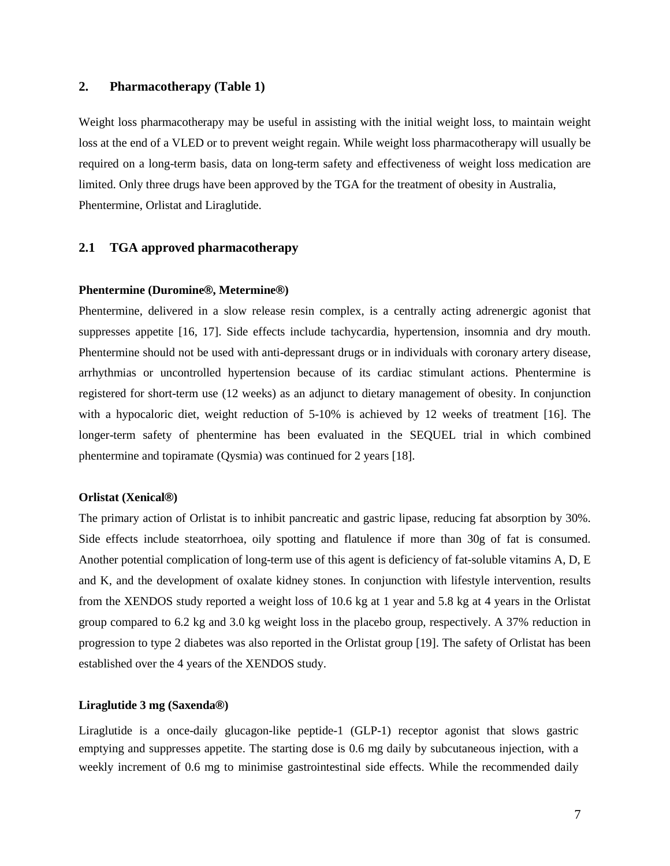## **2. Pharmacotherapy (Table 1)**

Weight loss pharmacotherapy may be useful in assisting with the initial weight loss, to maintain weight loss at the end of a VLED or to prevent weight regain. While weight loss pharmacotherapy will usually be required on a long-term basis, data on long-term safety and effectiveness of weight loss medication are limited. Only three drugs have been approved by the TGA for the treatment of obesity in Australia, Phentermine, Orlistat and Liraglutide.

## **2.1 TGA approved pharmacotherapy**

## **Phentermine (Duromine®, Metermine®)**

Phentermine, delivered in a slow release resin complex, is a centrally acting adrenergic agonist that suppresses appetite [\[16,](#page-21-15) [17\]](#page-21-16). Side effects include tachycardia, hypertension, insomnia and dry mouth. Phentermine should not be used with anti-depressant drugs or in individuals with coronary artery disease, arrhythmias or uncontrolled hypertension because of its cardiac stimulant actions. Phentermine is registered for short-term use (12 weeks) as an adjunct to dietary management of obesity. In conjunction with a hypocaloric diet, weight reduction of 5-10% is achieved by 12 weeks of treatment [\[16\]](#page-21-15). The longer-term safety of phentermine has been evaluated in the SEQUEL trial in which combined phentermine and topiramate (Qysmia) was continued for 2 years [\[18\]](#page-21-17).

#### **Orlistat (Xenical®)**

The primary action of Orlistat is to inhibit pancreatic and gastric lipase, reducing fat absorption by 30%. Side effects include steatorrhoea, oily spotting and flatulence if more than 30g of fat is consumed. Another potential complication of long-term use of this agent is deficiency of fat-soluble vitamins A, D, E and K, and the development of oxalate kidney stones. In conjunction with lifestyle intervention, results from the XENDOS study reported a weight loss of 10.6 kg at 1 year and 5.8 kg at 4 years in the Orlistat group compared to 6.2 kg and 3.0 kg weight loss in the placebo group, respectively. A 37% reduction in progression to type 2 diabetes was also reported in the Orlistat group [\[19\]](#page-22-0). The safety of Orlistat has been established over the 4 years of the XENDOS study.

## **Liraglutide 3 mg (Saxenda®)**

Liraglutide is a once-daily glucagon-like peptide-1 (GLP-1) receptor agonist that slows gastric emptying and suppresses appetite. The starting dose is 0.6 mg daily by subcutaneous injection, with a weekly increment of 0.6 mg to minimise gastrointestinal side effects. While the recommended daily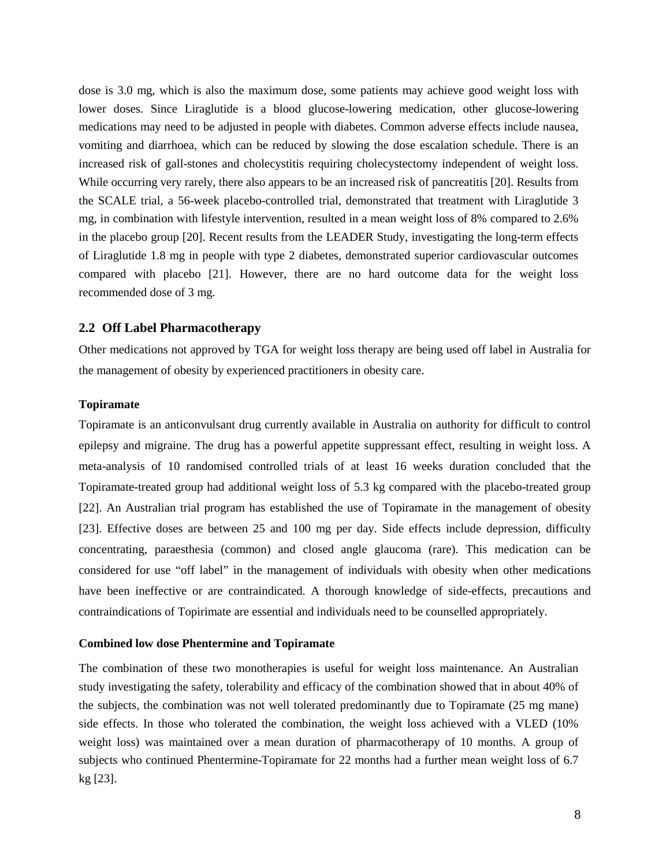dose is 3.0 mg, which is also the maximum dose, some patients may achieve good weight loss with lower doses. Since Liraglutide is a blood glucose-lowering medication, other glucose-lowering medications may need to be adjusted in people with diabetes. Common adverse effects include nausea, vomiting and diarrhoea, which can be reduced by slowing the dose escalation schedule. There is an increased risk of gall-stones and cholecystitis requiring cholecystectomy independent of weight loss. While occurring very rarely, there also appears to be an increased risk of pancreatitis [\[20\]](#page-22-1). Results from the SCALE trial, a 56-week placebo-controlled trial, demonstrated that treatment with Liraglutide 3 mg, in combination with lifestyle intervention, resulted in a mean weight loss of 8% compared to 2.6% in the placebo group [\[20\]](#page-22-1). Recent results from the LEADER Study, investigating the long-term effects of Liraglutide 1.8 mg in people with type 2 diabetes, demonstrated superior cardiovascular outcomes compared with placebo [\[21\]](#page-22-2). However, there are no hard outcome data for the weight loss recommended dose of 3 mg.

#### **2.2 Off Label Pharmacotherapy**

Other medications not approved by TGA for weight loss therapy are being used off label in Australia for the management of obesity by experienced practitioners in obesity care.

#### **Topiramate**

Topiramate is an anticonvulsant drug currently available in Australia on authority for difficult to control epilepsy and migraine. The drug has a powerful appetite suppressant effect, resulting in weight loss. A meta-analysis of 10 randomised controlled trials of at least 16 weeks duration concluded that the Topiramate-treated group had additional weight loss of 5.3 kg compared with the placebo-treated group [\[22\]](#page-22-3). An Australian trial program has established the use of Topiramate in the management of obesity [\[23\]](#page-22-4). Effective doses are between 25 and 100 mg per day. Side effects include depression, difficulty concentrating, paraesthesia (common) and closed angle glaucoma (rare). This medication can be considered for use "off label" in the management of individuals with obesity when other medications have been ineffective or are contraindicated. A thorough knowledge of side-effects, precautions and contraindications of Topirimate are essential and individuals need to be counselled appropriately.

## **Combined low dose Phentermine and Topiramate**

The combination of these two monotherapies is useful for weight loss maintenance. An Australian study investigating the safety, tolerability and efficacy of the combination showed that in about 40% of the subjects, the combination was not well tolerated predominantly due to Topiramate (25 mg mane) side effects. In those who tolerated the combination, the weight loss achieved with a VLED (10% weight loss) was maintained over a mean duration of pharmacotherapy of 10 months. A group of subjects who continued Phentermine-Topiramate for 22 months had a further mean weight loss of 6.7 kg [\[23\]](#page-22-4).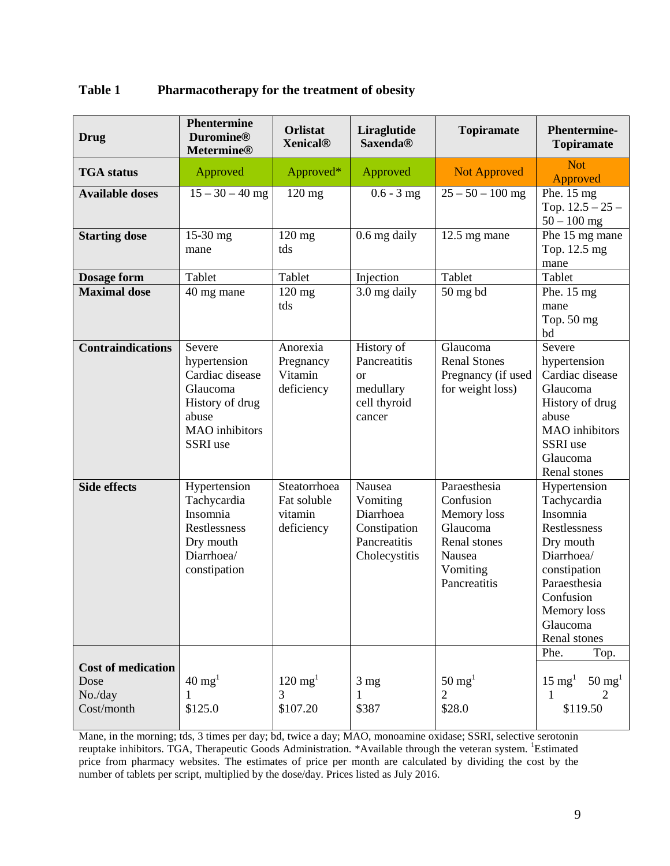| <b>Table 1</b> | <b>Pharmacotherapy for the treatment of obesity</b> |
|----------------|-----------------------------------------------------|
|----------------|-----------------------------------------------------|

| <b>Drug</b>                                                | <b>Phentermine</b><br><b>Duromine®</b><br><b>Metermine®</b>                                                            | <b>Orlistat</b><br><b>Xenical<sup>®</sup></b>        | Liraglutide<br><b>Saxenda®</b>                                                   | <b>Topiramate</b>                                                                                          | <b>Phentermine-</b><br><b>Topiramate</b>                                                                                                                                   |
|------------------------------------------------------------|------------------------------------------------------------------------------------------------------------------------|------------------------------------------------------|----------------------------------------------------------------------------------|------------------------------------------------------------------------------------------------------------|----------------------------------------------------------------------------------------------------------------------------------------------------------------------------|
| <b>TGA</b> status                                          | Approved                                                                                                               | Approved*                                            | Approved                                                                         | <b>Not Approved</b>                                                                                        | <b>Not</b><br>Approved                                                                                                                                                     |
| <b>Available doses</b>                                     | $15 - 30 - 40$ mg                                                                                                      | 120 mg                                               | $0.6 - 3$ mg                                                                     | $25 - 50 - 100$ mg                                                                                         | Phe. $15 \text{ mg}$<br>Top. $12.5 - 25$ –<br>$50 - 100$ mg                                                                                                                |
| <b>Starting dose</b>                                       | 15-30 mg<br>mane                                                                                                       | $120$ mg<br>tds                                      | 0.6 mg daily                                                                     | $12.5$ mg mane                                                                                             | Phe 15 mg mane<br>Top. 12.5 mg<br>mane                                                                                                                                     |
| <b>Dosage form</b>                                         | Tablet                                                                                                                 | Tablet                                               | Injection                                                                        | Tablet                                                                                                     | Tablet                                                                                                                                                                     |
| <b>Maximal dose</b>                                        | 40 mg mane                                                                                                             | $120$ mg<br>tds                                      | 3.0 mg daily                                                                     | $50$ mg bd                                                                                                 | Phe. $15 \text{ mg}$<br>mane<br>Top. 50 mg<br>bd                                                                                                                           |
| <b>Contraindications</b>                                   | Severe<br>hypertension<br>Cardiac disease<br>Glaucoma<br>History of drug<br>abuse<br><b>MAO</b> inhibitors<br>SSRI use | Anorexia<br>Pregnancy<br>Vitamin<br>deficiency       | History of<br>Pancreatitis<br><b>or</b><br>medullary<br>cell thyroid<br>cancer   | Glaucoma<br><b>Renal Stones</b><br>Pregnancy (if used<br>for weight loss)                                  | Severe<br>hypertension<br>Cardiac disease<br>Glaucoma<br>History of drug<br>abuse<br><b>MAO</b> inhibitors<br>SSRI use<br>Glaucoma<br>Renal stones                         |
| <b>Side effects</b>                                        | Hypertension<br>Tachycardia<br>Insomnia<br>Restlessness<br>Dry mouth<br>Diarrhoea/<br>constipation                     | Steatorrhoea<br>Fat soluble<br>vitamin<br>deficiency | Nausea<br>Vomiting<br>Diarrhoea<br>Constipation<br>Pancreatitis<br>Cholecystitis | Paraesthesia<br>Confusion<br>Memory loss<br>Glaucoma<br>Renal stones<br>Nausea<br>Vomiting<br>Pancreatitis | Hypertension<br>Tachycardia<br>Insomnia<br>Restlessness<br>Dry mouth<br>Diarrhoea/<br>constipation<br>Paraesthesia<br>Confusion<br>Memory loss<br>Glaucoma<br>Renal stones |
| <b>Cost of medication</b><br>Dose<br>No./day<br>Cost/month | $40 \text{ mg}^1$<br>\$125.0                                                                                           | $120 \text{ mg}^1$<br>3<br>\$107.20                  | 3 <sub>mg</sub><br>1<br>\$387                                                    | $50 \text{ mg}^1$<br>$\overline{2}$<br>\$28.0                                                              | Phe.<br>Top.<br>$15 \text{ mg}^1$<br>$50 \text{ mg}^1$<br>2<br>1<br>\$119.50                                                                                               |

 $\mathcal{L}_{\mathcal{A}}$ ┸  $\perp$  $\perp$ Mane, in the morning; tds, 3 times per day; bd, twice a day; MAO, monoamine oxidase; SSRI, selective serotonin reuptake inhibitors. TGA, Therapeutic Goods Administration. \*Available through the veteran system. <sup>1</sup>Estimated price from pharmacy websites. The estimates of price per month are calculated by dividing the cost by the number of tablets per script, multiplied by the dose/day. Prices listed as July 2016.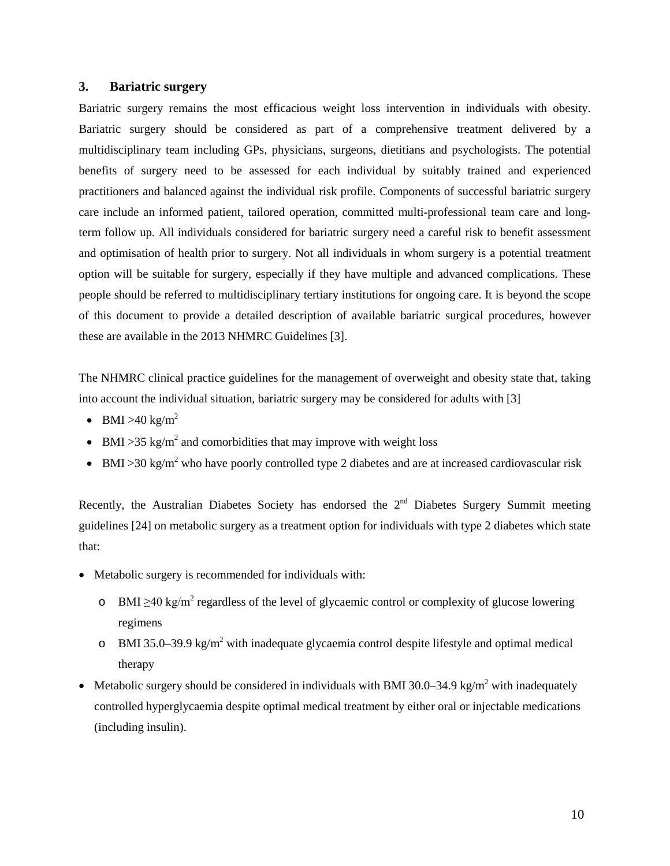## **3. Bariatric surgery**

Bariatric surgery remains the most efficacious weight loss intervention in individuals with obesity. Bariatric surgery should be considered as part of a comprehensive treatment delivered by a multidisciplinary team including GPs, physicians, surgeons, dietitians and psychologists. The potential benefits of surgery need to be assessed for each individual by suitably trained and experienced practitioners and balanced against the individual risk profile. Components of successful bariatric surgery care include an informed patient, tailored operation, committed multi-professional team care and longterm follow up. All individuals considered for bariatric surgery need a careful risk to benefit assessment and optimisation of health prior to surgery. Not all individuals in whom surgery is a potential treatment option will be suitable for surgery, especially if they have multiple and advanced complications. These people should be referred to multidisciplinary tertiary institutions for ongoing care. It is beyond the scope of this document to provide a detailed description of available bariatric surgical procedures, however these are available in the 2013 NHMRC Guidelines [\[3\]](#page-21-2).

The NHMRC clinical practice guidelines for the management of overweight and obesity state that, taking into account the individual situation, bariatric surgery may be considered for adults with [\[3\]](#page-21-2)

- BMI >40 kg/m<sup>2</sup>
- BMI > 35 kg/m<sup>2</sup> and comorbidities that may improve with weight loss
- BMI > 30 kg/m<sup>2</sup> who have poorly controlled type 2 diabetes and are at increased cardiovascular risk

Recently, the Australian Diabetes Society has endorsed the  $2<sup>nd</sup>$  Diabetes Surgery Summit meeting guidelines [\[24\]](#page-22-5) on metabolic surgery as a treatment option for individuals with type 2 diabetes which state that:

- Metabolic surgery is recommended for individuals with:
	- o BMI  $\geq$ 40 kg/m<sup>2</sup> regardless of the level of glycaemic control or complexity of glucose lowering regimens
	- o BMI 35.0–39.9 kg/m<sup>2</sup> with inadequate glycaemia control despite lifestyle and optimal medical therapy
- Metabolic surgery should be considered in individuals with BMI 30.0–34.9 kg/m<sup>2</sup> with inadequately controlled hyperglycaemia despite optimal medical treatment by either oral or injectable medications (including insulin).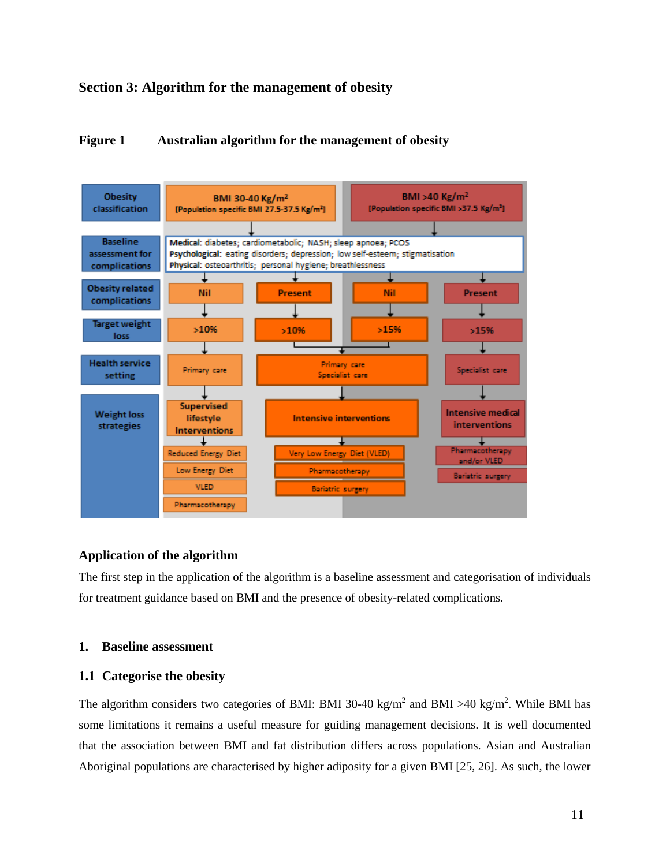## **Section 3: Algorithm for the management of obesity**

## **Figure 1 Australian algorithm for the management of obesity**



## **Application of the algorithm**

The first step in the application of the algorithm is a baseline assessment and categorisation of individuals for treatment guidance based on BMI and the presence of obesity-related complications.

## **1. Baseline assessment**

## **1.1 Categorise the obesity**

The algorithm considers two categories of BMI: BMI 30-40 kg/m<sup>2</sup> and BMI >40 kg/m<sup>2</sup>. While BMI has some limitations it remains a useful measure for guiding management decisions. It is well documented that the association between BMI and fat distribution differs across populations. Asian and Australian Aboriginal populations are characterised by higher adiposity for a given BMI [\[25,](#page-22-6) [26\]](#page-22-7). As such, the lower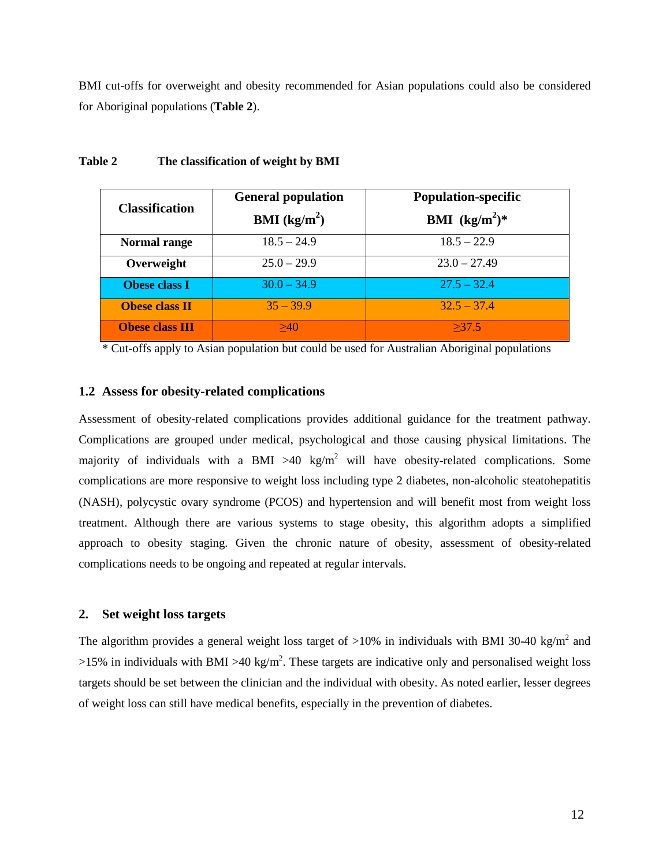BMI cut-offs for overweight and obesity recommended for Asian populations could also be considered for Aboriginal populations (**Table 2**).

| <b>Classification</b>  | <b>General population</b> | <b>Population-specific</b> |  |
|------------------------|---------------------------|----------------------------|--|
|                        | <b>BMI</b> ( $kg/m2$ )    | <b>BMI</b> $(kg/m^2)^*$    |  |
| Normal range           | $18.5 - 24.9$             | $18.5 - 22.9$              |  |
| Overweight             | $25.0 - 29.9$             | $23.0 - 27.49$             |  |
| <b>Obese class I</b>   | $30.0 - 34.9$             | $27.5 - 32.4$              |  |
| <b>Obese class II</b>  | $35 - 39.9$               | $32.5 - 37.4$              |  |
| <b>Obese class III</b> | >40                       | >37.5                      |  |

#### **Table 2 The classification of weight by BMI**

\* Cut-offs apply to Asian population but could be used for Australian Aboriginal populations

## **1.2 Assess for obesity-related complications**

Assessment of obesity-related complications provides additional guidance for the treatment pathway. Complications are grouped under medical, psychological and those causing physical limitations. The majority of individuals with a BMI  $>40 \text{ kg/m}^2$  will have obesity-related complications. Some complications are more responsive to weight loss including type 2 diabetes, non-alcoholic steatohepatitis (NASH), polycystic ovary syndrome (PCOS) and hypertension and will benefit most from weight loss treatment. Although there are various systems to stage obesity, this algorithm adopts a simplified approach to obesity staging. Given the chronic nature of obesity, assessment of obesity-related complications needs to be ongoing and repeated at regular intervals.

## **2. Set weight loss targets**

The algorithm provides a general weight loss target of  $>10\%$  in individuals with BMI 30-40 kg/m<sup>2</sup> and  $>15\%$  in individuals with BMI  $>40$  kg/m<sup>2</sup>. These targets are indicative only and personalised weight loss targets should be set between the clinician and the individual with obesity. As noted earlier, lesser degrees of weight loss can still have medical benefits, especially in the prevention of diabetes.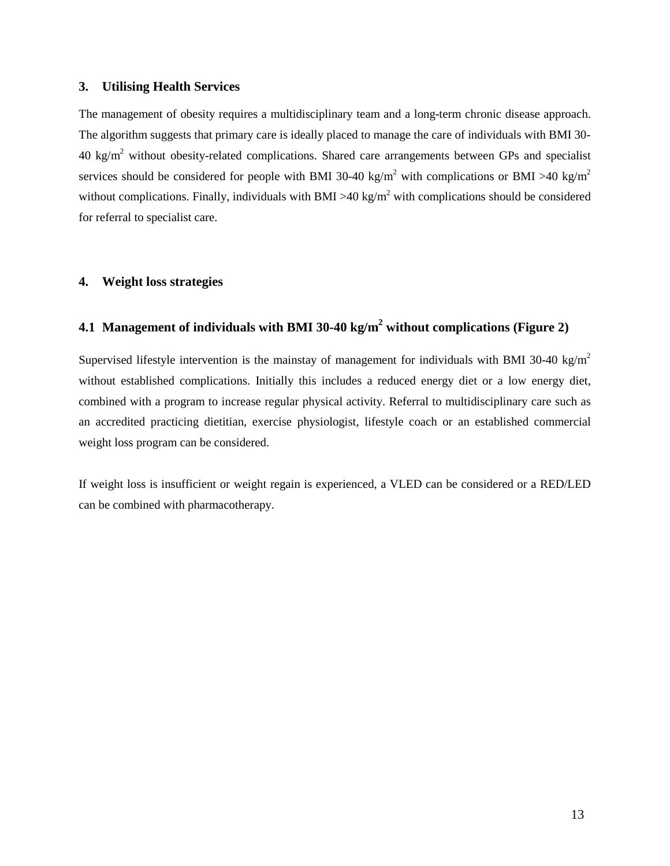## **3. Utilising Health Services**

The management of obesity requires a multidisciplinary team and a long-term chronic disease approach. The algorithm suggests that primary care is ideally placed to manage the care of individuals with BMI 30-  $40 \text{ kg/m}^2$  without obesity-related complications. Shared care arrangements between GPs and specialist services should be considered for people with BMI 30-40 kg/m<sup>2</sup> with complications or BMI >40 kg/m<sup>2</sup> without complications. Finally, individuals with BMI >40 kg/m<sup>2</sup> with complications should be considered for referral to specialist care.

## **4. Weight loss strategies**

## **4.1 Management of individuals with BMI 30-40 kg/m2 without complications (Figure 2)**

Supervised lifestyle intervention is the mainstay of management for individuals with BMI 30-40 kg/m<sup>2</sup> without established complications. Initially this includes a reduced energy diet or a low energy diet, combined with a program to increase regular physical activity. Referral to multidisciplinary care such as an accredited practicing dietitian, exercise physiologist, lifestyle coach or an established commercial weight loss program can be considered.

If weight loss is insufficient or weight regain is experienced, a VLED can be considered or a RED/LED can be combined with pharmacotherapy.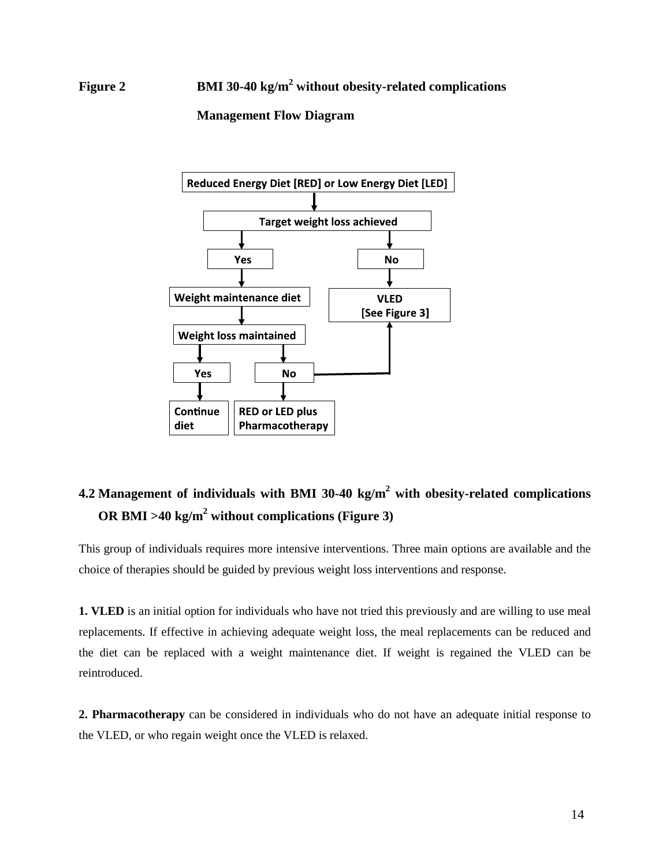# **Figure 2 BMI 30-40 kg/m2 without obesity-related complications**

## **Management Flow Diagram**



# **4.2 Management of individuals with BMI 30-40 kg/m2 with obesity-related complications OR BMI >40 kg/m2 without complications (Figure 3)**

This group of individuals requires more intensive interventions. Three main options are available and the choice of therapies should be guided by previous weight loss interventions and response.

**1. VLED** is an initial option for individuals who have not tried this previously and are willing to use meal replacements. If effective in achieving adequate weight loss, the meal replacements can be reduced and the diet can be replaced with a weight maintenance diet. If weight is regained the VLED can be reintroduced.

**2. Pharmacotherapy** can be considered in individuals who do not have an adequate initial response to the VLED, or who regain weight once the VLED is relaxed.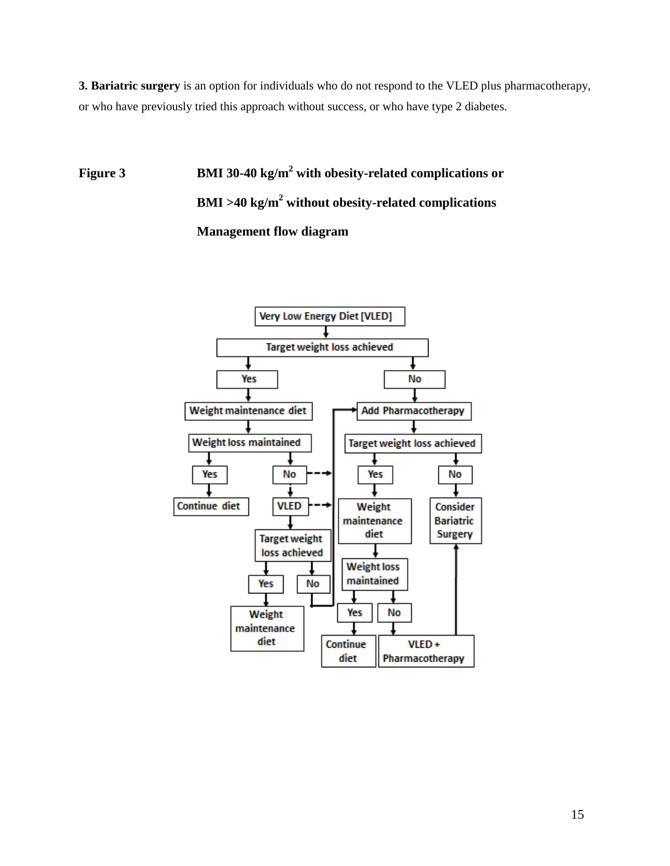**3. Bariatric surgery** is an option for individuals who do not respond to the VLED plus pharmacotherapy, or who have previously tried this approach without success, or who have type 2 diabetes.

**Figure 3 BMI 30-40 kg/m2 with obesity-related complications or BMI >40 kg/m2 without obesity-related complications Management flow diagram**

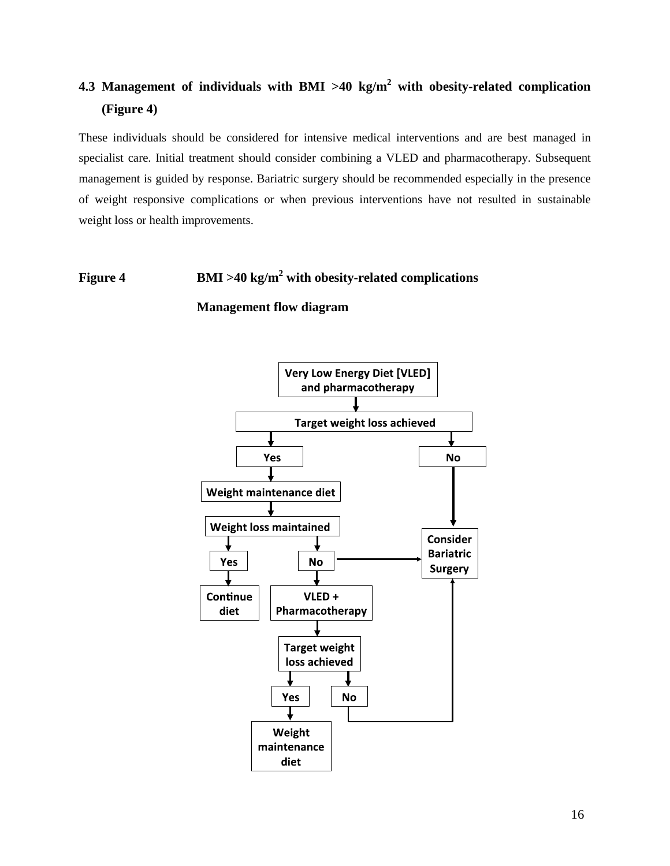# **4.3 Management of individuals with BMI >40 kg/m2 with obesity-related complication (Figure 4)**

These individuals should be considered for intensive medical interventions and are best managed in specialist care. Initial treatment should consider combining a VLED and pharmacotherapy. Subsequent management is guided by response. Bariatric surgery should be recommended especially in the presence of weight responsive complications or when previous interventions have not resulted in sustainable weight loss or health improvements.

# **Figure 4 BMI >40 kg/m2 with obesity-related complications**

**Management flow diagram**

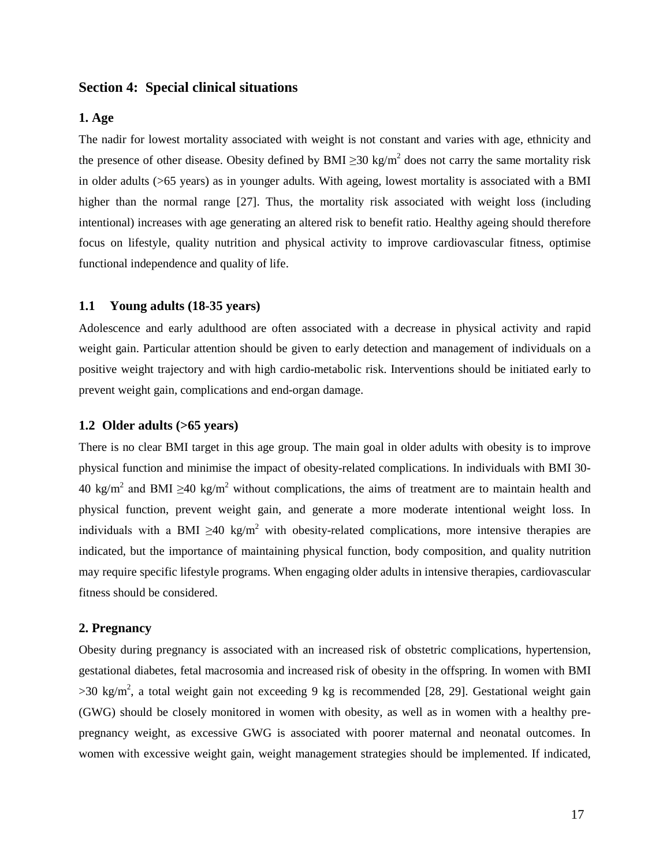## **Section 4: Special clinical situations**

#### **1. Age**

The nadir for lowest mortality associated with weight is not constant and varies with age, ethnicity and the presence of other disease. Obesity defined by BMI  $\geq$ 30 kg/m<sup>2</sup> does not carry the same mortality risk in older adults (>65 years) as in younger adults. With ageing, lowest mortality is associated with a BMI higher than the normal range [\[27\]](#page-22-8). Thus, the mortality risk associated with weight loss (including intentional) increases with age generating an altered risk to benefit ratio. Healthy ageing should therefore focus on lifestyle, quality nutrition and physical activity to improve cardiovascular fitness, optimise functional independence and quality of life.

## **1.1 Young adults (18-35 years)**

Adolescence and early adulthood are often associated with a decrease in physical activity and rapid weight gain. Particular attention should be given to early detection and management of individuals on a positive weight trajectory and with high cardio-metabolic risk. Interventions should be initiated early to prevent weight gain, complications and end-organ damage.

## **1.2 Older adults (>65 years)**

There is no clear BMI target in this age group. The main goal in older adults with obesity is to improve physical function and minimise the impact of obesity-related complications. In individuals with BMI 30-  $40 \text{ kg/m}^2$  and BMI >40 kg/m<sup>2</sup> without complications, the aims of treatment are to maintain health and physical function, prevent weight gain, and generate a more moderate intentional weight loss. In individuals with a BMI  $>40 \text{ kg/m}^2$  with obesity-related complications, more intensive therapies are indicated, but the importance of maintaining physical function, body composition, and quality nutrition may require specific lifestyle programs. When engaging older adults in intensive therapies, cardiovascular fitness should be considered.

#### **2. Pregnancy**

Obesity during pregnancy is associated with an increased risk of obstetric complications, hypertension, gestational diabetes, fetal macrosomia and increased risk of obesity in the offspring. In women with BMI  $>$ 30 kg/m<sup>2</sup>, a total weight gain not exceeding 9 kg is recommended [\[28,](#page-22-9) [29\]](#page-22-10). Gestational weight gain (GWG) should be closely monitored in women with obesity, as well as in women with a healthy prepregnancy weight, as excessive GWG is associated with poorer maternal and neonatal outcomes. In women with excessive weight gain, weight management strategies should be implemented. If indicated,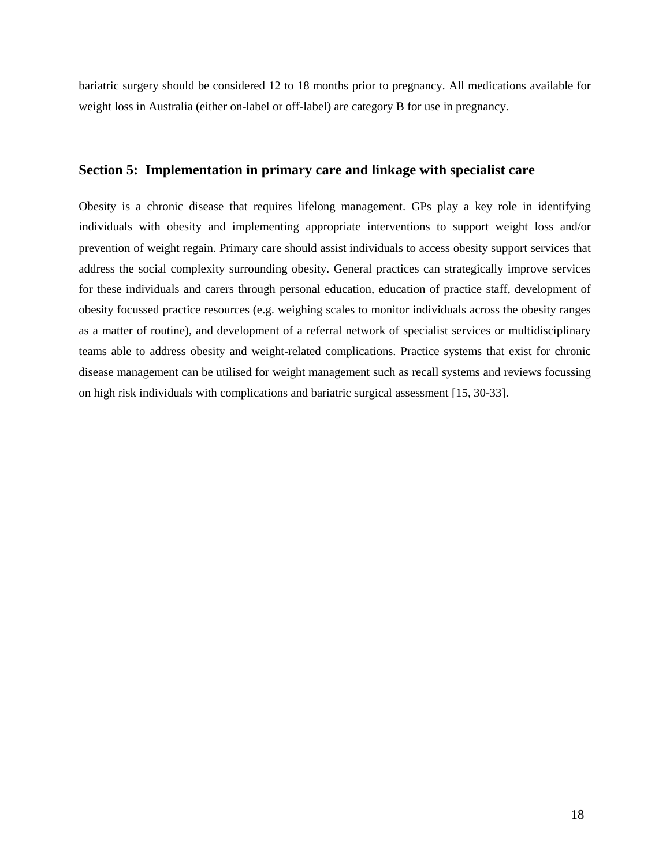bariatric surgery should be considered 12 to 18 months prior to pregnancy. All medications available for weight loss in Australia (either on-label or off-label) are category B for use in pregnancy.

## **Section 5: Implementation in primary care and linkage with specialist care**

Obesity is a chronic disease that requires lifelong management. GPs play a key role in identifying individuals with obesity and implementing appropriate interventions to support weight loss and/or prevention of weight regain. Primary care should assist individuals to access obesity support services that address the social complexity surrounding obesity. General practices can strategically improve services for these individuals and carers through personal education, education of practice staff, development of obesity focussed practice resources (e.g. weighing scales to monitor individuals across the obesity ranges as a matter of routine), and development of a referral network of specialist services or multidisciplinary teams able to address obesity and weight-related complications. Practice systems that exist for chronic disease management can be utilised for weight management such as recall systems and reviews focussing on high risk individuals with complications and bariatric surgical assessment [\[15,](#page-21-14) [30-33\]](#page-22-11).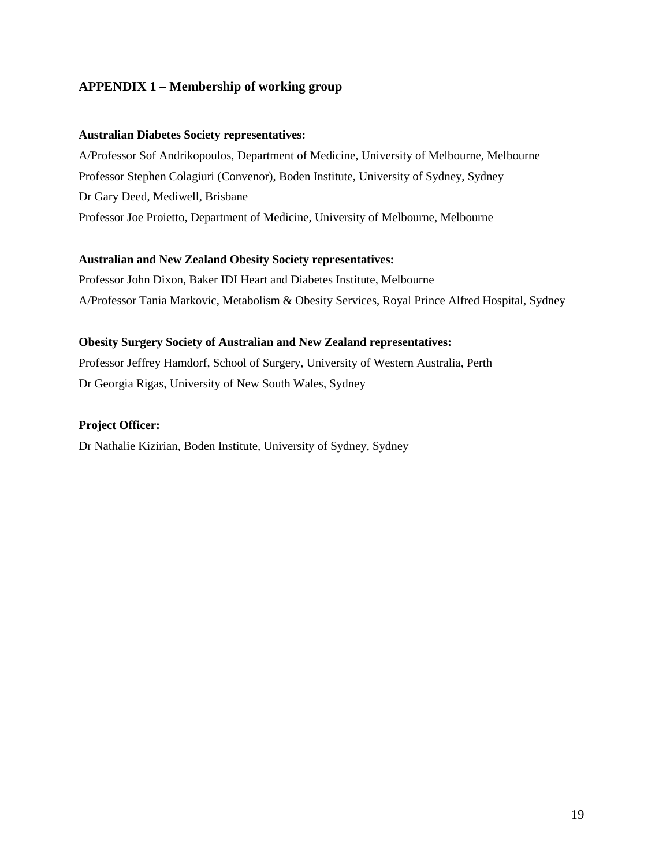## **APPENDIX 1 – Membership of working group**

## **Australian Diabetes Society representatives:**

A/Professor Sof Andrikopoulos, Department of Medicine, University of Melbourne, Melbourne Professor Stephen Colagiuri (Convenor), Boden Institute, University of Sydney, Sydney Dr Gary Deed, Mediwell, Brisbane Professor Joe Proietto, Department of Medicine, University of Melbourne, Melbourne

## **Australian and New Zealand Obesity Society representatives:**

Professor John Dixon, Baker IDI Heart and Diabetes Institute, Melbourne A/Professor Tania Markovic, Metabolism & Obesity Services, Royal Prince Alfred Hospital, Sydney

## **Obesity Surgery Society of Australian and New Zealand representatives:**

Professor Jeffrey Hamdorf, School of Surgery, University of Western Australia, Perth Dr Georgia Rigas, University of New South Wales, Sydney

## **Project Officer:**

Dr Nathalie Kizirian, Boden Institute, University of Sydney, Sydney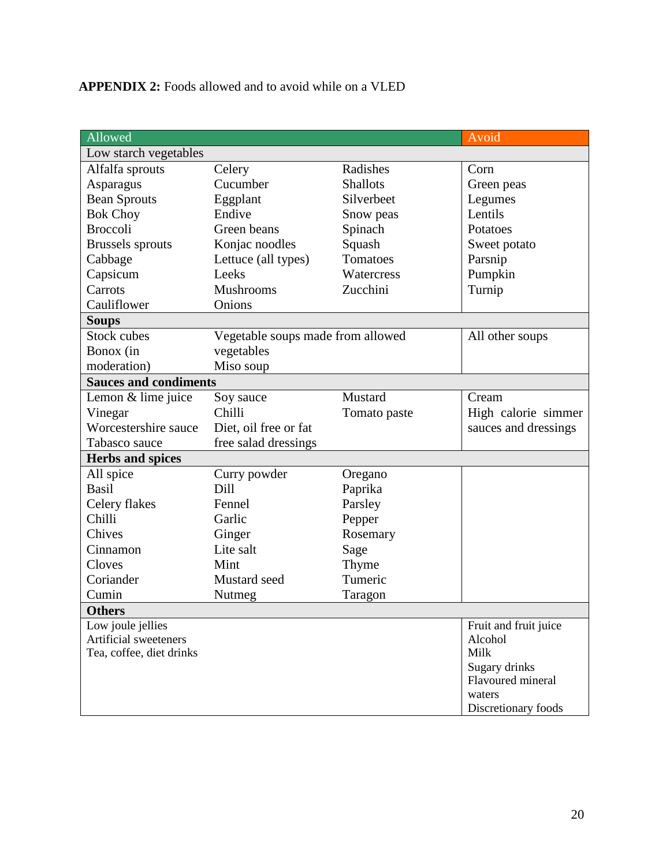# **APPENDIX 2:** Foods allowed and to avoid while on a VLED

| Allowed                      |                                   |                 | Avoid                              |
|------------------------------|-----------------------------------|-----------------|------------------------------------|
| Low starch vegetables        |                                   |                 |                                    |
| Alfalfa sprouts              | Celery                            | Radishes        | Corn                               |
| Asparagus                    | Cucumber                          | <b>Shallots</b> | Green peas                         |
| <b>Bean Sprouts</b>          | Eggplant                          | Silverbeet      | Legumes                            |
| <b>Bok Choy</b>              | Endive                            | Snow peas       | Lentils                            |
| <b>Broccoli</b>              | Green beans                       | Spinach         | Potatoes                           |
| <b>Brussels</b> sprouts      | Konjac noodles                    | Squash          | Sweet potato                       |
| Cabbage                      | Lettuce (all types)               | Tomatoes        | Parsnip                            |
| Capsicum                     | Leeks                             | Watercress      | Pumpkin                            |
| Carrots                      | Mushrooms                         | Zucchini        | Turnip                             |
| Cauliflower                  | Onions                            |                 |                                    |
| <b>Soups</b>                 |                                   |                 |                                    |
| <b>Stock cubes</b>           | Vegetable soups made from allowed |                 | All other soups                    |
| Bonox (in                    | vegetables                        |                 |                                    |
| moderation)                  | Miso soup                         |                 |                                    |
| <b>Sauces and condiments</b> |                                   |                 |                                    |
| Lemon & lime juice           | Soy sauce                         | Mustard         | Cream                              |
| Vinegar                      | Chilli                            | Tomato paste    | High calorie simmer                |
| Worcestershire sauce         | Diet, oil free or fat             |                 | sauces and dressings               |
| Tabasco sauce                | free salad dressings              |                 |                                    |
| <b>Herbs and spices</b>      |                                   |                 |                                    |
| All spice                    | Curry powder                      | Oregano         |                                    |
| <b>Basil</b>                 | Dill                              | Paprika         |                                    |
| Celery flakes                | Fennel                            | Parsley         |                                    |
| Chilli                       | Garlic                            | Pepper          |                                    |
| Chives                       | Ginger                            | Rosemary        |                                    |
| Cinnamon                     | Lite salt                         | Sage            |                                    |
| Cloves                       | Mint                              | Thyme           |                                    |
| Coriander                    | Mustard seed                      | Tumeric         |                                    |
| Cumin                        | Nutmeg                            | Taragon         |                                    |
| <b>Others</b>                |                                   |                 |                                    |
| Low joule jellies            |                                   |                 | Fruit and fruit juice              |
| Artificial sweeteners        |                                   |                 | Alcohol                            |
| Tea, coffee, diet drinks     |                                   |                 | Milk                               |
|                              |                                   |                 | Sugary drinks<br>Flavoured mineral |
|                              |                                   |                 |                                    |
|                              |                                   |                 |                                    |
|                              |                                   |                 | waters<br>Discretionary foods      |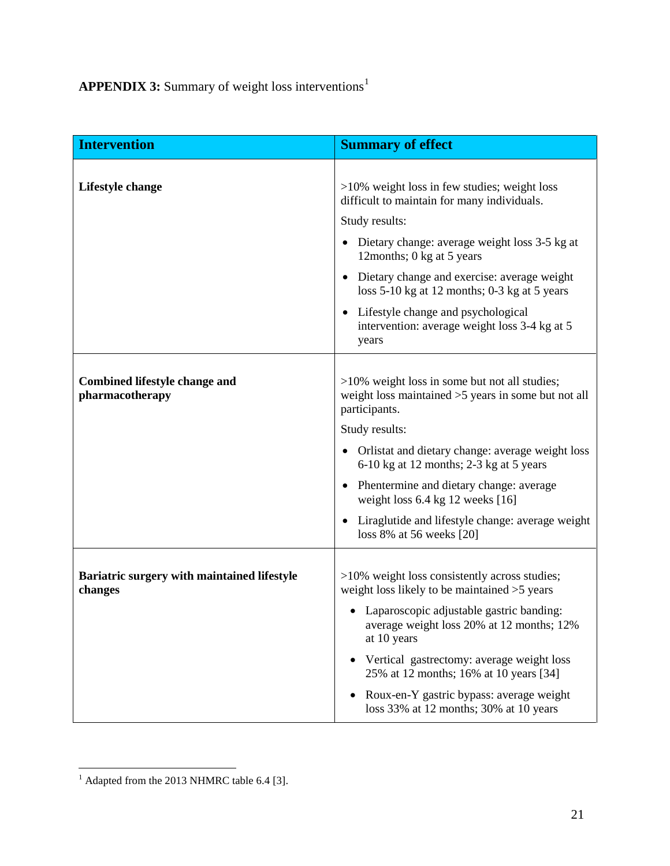**APPENDIX 3:** Summary of weight loss interventions<sup>[1](#page-20-0)</sup>

| <b>Intervention</b>                                     | <b>Summary of effect</b>                                                                                                   |  |
|---------------------------------------------------------|----------------------------------------------------------------------------------------------------------------------------|--|
|                                                         |                                                                                                                            |  |
| Lifestyle change                                        | $>10\%$ weight loss in few studies; weight loss<br>difficult to maintain for many individuals.                             |  |
|                                                         | Study results:                                                                                                             |  |
|                                                         | • Dietary change: average weight loss 3-5 kg at<br>12months; 0 kg at 5 years                                               |  |
|                                                         | Dietary change and exercise: average weight<br>loss $5-10$ kg at 12 months; 0-3 kg at 5 years                              |  |
|                                                         | Lifestyle change and psychological<br>$\bullet$<br>intervention: average weight loss 3-4 kg at 5<br>years                  |  |
|                                                         |                                                                                                                            |  |
| <b>Combined lifestyle change and</b><br>pharmacotherapy | $>10\%$ weight loss in some but not all studies;<br>weight loss maintained $>5$ years in some but not all<br>participants. |  |
|                                                         | Study results:                                                                                                             |  |
|                                                         | Orlistat and dietary change: average weight loss<br>6-10 kg at 12 months; 2-3 kg at 5 years                                |  |
|                                                         | • Phentermine and dietary change: average<br>weight loss $6.4$ kg 12 weeks [16]                                            |  |
|                                                         | Liraglutide and lifestyle change: average weight<br>loss 8% at 56 weeks [20]                                               |  |
|                                                         |                                                                                                                            |  |
| Bariatric surgery with maintained lifestyle<br>changes  | >10% weight loss consistently across studies;<br>weight loss likely to be maintained $>5$ years                            |  |
|                                                         | Laparoscopic adjustable gastric banding:<br>average weight loss 20% at 12 months; 12%<br>at 10 years                       |  |
|                                                         | Vertical gastrectomy: average weight loss<br>25% at 12 months; 16% at 10 years [34]                                        |  |
|                                                         | Roux-en-Y gastric bypass: average weight<br>loss 33% at 12 months; 30% at 10 years                                         |  |

<span id="page-20-0"></span> $<sup>1</sup>$  Adapted from the 2013 NHMRC table 6.4 [3].</sup>  $\overline{a}$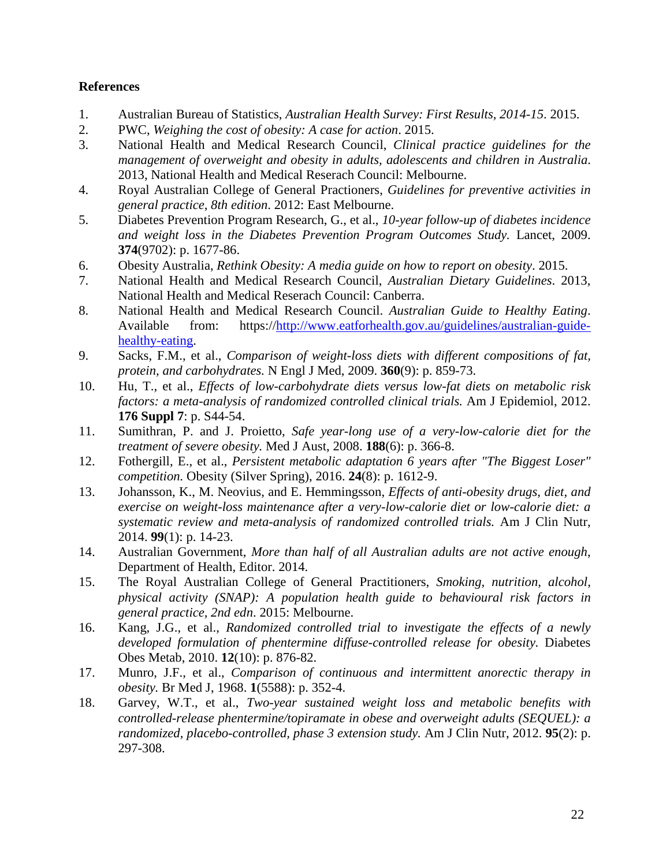## **References**

- <span id="page-21-0"></span>1. Australian Bureau of Statistics, *Australian Health Survey: First Results, 2014-15*. 2015.
- <span id="page-21-1"></span>2. PWC, *Weighing the cost of obesity: A case for action*. 2015.
- <span id="page-21-2"></span>3. National Health and Medical Research Council, *Clinical practice guidelines for the management of overweight and obesity in adults, adolescents and children in Australia*. 2013, National Health and Medical Reserach Council: Melbourne.
- <span id="page-21-3"></span>4. Royal Australian College of General Practioners, *Guidelines for preventive activities in general practice, 8th edition*. 2012: East Melbourne.
- <span id="page-21-4"></span>5. Diabetes Prevention Program Research, G., et al., *10-year follow-up of diabetes incidence and weight loss in the Diabetes Prevention Program Outcomes Study.* Lancet, 2009. **374**(9702): p. 1677-86.
- <span id="page-21-5"></span>6. Obesity Australia, *Rethink Obesity: A media guide on how to report on obesity*. 2015.
- <span id="page-21-6"></span>7. National Health and Medical Research Council, *Australian Dietary Guidelines*. 2013, National Health and Medical Reserach Council: Canberra.
- <span id="page-21-7"></span>8. National Health and Medical Research Council. *Australian Guide to Healthy Eating*. Available from: https:/[/http://www.eatforhealth.gov.au/guidelines/australian-guide](http://www.eatforhealth.gov.au/guidelines/australian-guide-healthy-eating)[healthy-eating.](http://www.eatforhealth.gov.au/guidelines/australian-guide-healthy-eating)
- <span id="page-21-8"></span>9. Sacks, F.M., et al., *Comparison of weight-loss diets with different compositions of fat, protein, and carbohydrates.* N Engl J Med, 2009. **360**(9): p. 859-73.
- <span id="page-21-9"></span>10. Hu, T., et al., *Effects of low-carbohydrate diets versus low-fat diets on metabolic risk factors: a meta-analysis of randomized controlled clinical trials.* Am J Epidemiol, 2012. **176 Suppl 7**: p. S44-54.
- <span id="page-21-10"></span>11. Sumithran, P. and J. Proietto, *Safe year-long use of a very-low-calorie diet for the treatment of severe obesity.* Med J Aust, 2008. **188**(6): p. 366-8.
- <span id="page-21-11"></span>12. Fothergill, E., et al., *Persistent metabolic adaptation 6 years after "The Biggest Loser" competition.* Obesity (Silver Spring), 2016. **24**(8): p. 1612-9.
- <span id="page-21-12"></span>13. Johansson, K., M. Neovius, and E. Hemmingsson, *Effects of anti-obesity drugs, diet, and exercise on weight-loss maintenance after a very-low-calorie diet or low-calorie diet: a systematic review and meta-analysis of randomized controlled trials.* Am J Clin Nutr, 2014. **99**(1): p. 14-23.
- <span id="page-21-13"></span>14. Australian Government, *More than half of all Australian adults are not active enough*, Department of Health, Editor. 2014.
- <span id="page-21-14"></span>15. The Royal Australian College of General Practitioners, *Smoking, nutrition, alcohol, physical activity (SNAP): A population health guide to behavioural risk factors in general practice, 2nd edn*. 2015: Melbourne.
- <span id="page-21-15"></span>16. Kang, J.G., et al., *Randomized controlled trial to investigate the effects of a newly developed formulation of phentermine diffuse-controlled release for obesity.* Diabetes Obes Metab, 2010. **12**(10): p. 876-82.
- <span id="page-21-16"></span>17. Munro, J.F., et al., *Comparison of continuous and intermittent anorectic therapy in obesity.* Br Med J, 1968. **1**(5588): p. 352-4.
- <span id="page-21-17"></span>18. Garvey, W.T., et al., *Two-year sustained weight loss and metabolic benefits with controlled-release phentermine/topiramate in obese and overweight adults (SEQUEL): a randomized, placebo-controlled, phase 3 extension study.* Am J Clin Nutr, 2012. **95**(2): p. 297-308.